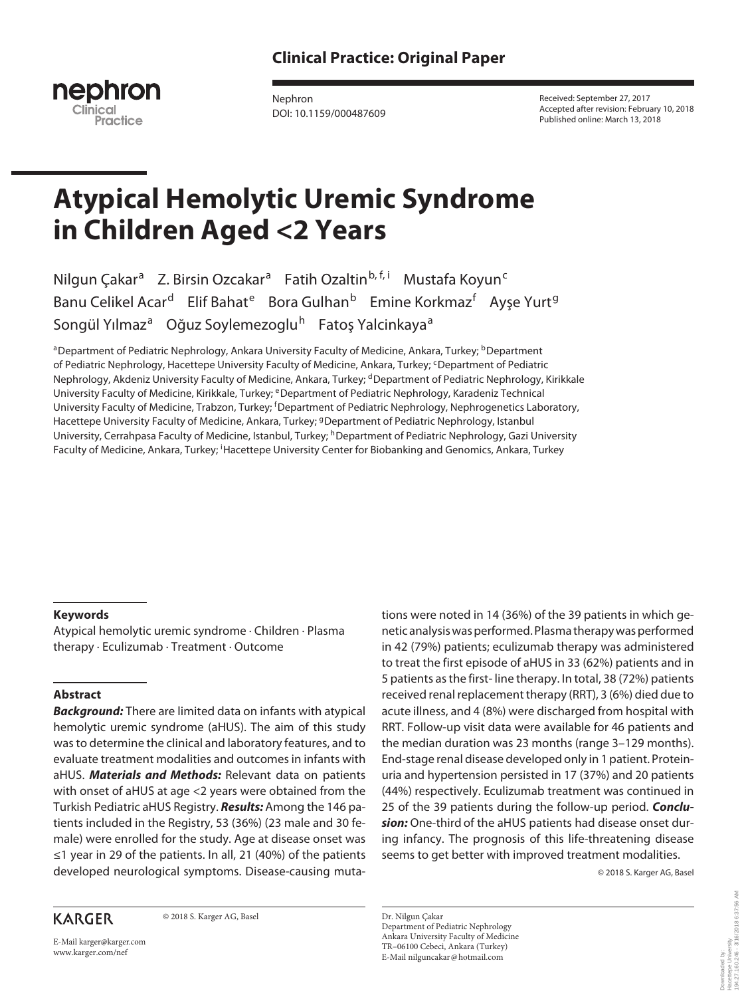

Nephron DOI: 10.1159/000487609

Received: September 27, 2017 Accepted after revision: February 10, 2018 Published online: March 13, 2018

# **Atypical Hemolytic Uremic Syndrome in Children Aged <2 Years**

Nilgun Çakar<sup>a</sup> Z. Birsin Ozcakar<sup>a</sup> Fatih Ozaltin<sup>b, f, i</sup> Mustafa Koyun<sup>c</sup> Banu Celikel Acar<sup>d</sup> Elif Bahat<sup>e</sup> Bora Gulhan<sup>b</sup> Emine Korkmaz<sup>f</sup> Ayşe Yurt<sup>g</sup> Songül Yılmaz<sup>a</sup> Oğuz Soylemezoglu<sup>h</sup> Fatoş Yalcinkaya<sup>a</sup>

<sup>a</sup>Department of Pediatric Nephrology, Ankara University Faculty of Medicine, Ankara, Turkey; <sup>b</sup>Department of Pediatric Nephrology, Hacettepe University Faculty of Medicine, Ankara, Turkey; cDepartment of Pediatric Nephrology, Akdeniz University Faculty of Medicine, Ankara, Turkey; <sup>d</sup>Department of Pediatric Nephrology, Kirikkale University Faculty of Medicine, Kirikkale, Turkey; eDepartment of Pediatric Nephrology, Karadeniz Technical University Faculty of Medicine, Trabzon, Turkey; <sup>f</sup>Department of Pediatric Nephrology, Nephrogenetics Laboratory, Hacettepe University Faculty of Medicine, Ankara, Turkey; <sup>9</sup>Department of Pediatric Nephrology, Istanbul University, Cerrahpasa Faculty of Medicine, Istanbul, Turkey; <sup>h</sup>Department of Pediatric Nephrology, Gazi University Faculty of Medicine, Ankara, Turkey; <sup>i</sup> Hacettepe University Center for Biobanking and Genomics, Ankara, Turkey

### **Keywords**

Atypical hemolytic uremic syndrome · Children · Plasma therapy · Eculizumab · Treatment · Outcome

### **Abstract**

*Background:* There are limited data on infants with atypical hemolytic uremic syndrome (aHUS). The aim of this study was to determine the clinical and laboratory features, and to evaluate treatment modalities and outcomes in infants with aHUS. *Materials and Methods:* Relevant data on patients with onset of aHUS at age <2 years were obtained from the Turkish Pediatric aHUS Registry. *Results:* Among the 146 patients included in the Registry, 53 (36%) (23 male and 30 female) were enrolled for the study. Age at disease onset was ≤1 year in 29 of the patients. In all, 21 (40%) of the patients developed neurological symptoms. Disease-causing muta-

# **KARGER**

E-Mail karger@karger.com www.karger.com/nef

© 2018 S. Karger AG, Basel

tions were noted in 14 (36%) of the 39 patients in which genetic analysis was performed. Plasma therapy was performed in 42 (79%) patients; eculizumab therapy was administered to treat the first episode of aHUS in 33 (62%) patients and in 5 patients as the first- line therapy. In total, 38 (72%) patients received renal replacement therapy (RRT), 3 (6%) died due to acute illness, and 4 (8%) were discharged from hospital with RRT. Follow-up visit data were available for 46 patients and the median duration was 23 months (range 3–129 months). End-stage renal disease developed only in 1 patient. Proteinuria and hypertension persisted in 17 (37%) and 20 patients (44%) respectively. Eculizumab treatment was continued in 25 of the 39 patients during the follow-up period. *Conclusion:* One-third of the aHUS patients had disease onset during infancy. The prognosis of this life-threatening disease seems to get better with improved treatment modalities.

© 2018 S. Karger AG, Basel

Dr. Nilgun Çakar Department of Pediatric Nephrology Ankara University Faculty of Medicine TR–06100 Cebeci, Ankara (Turkey) E-Mail nilguncakar@hotmail.com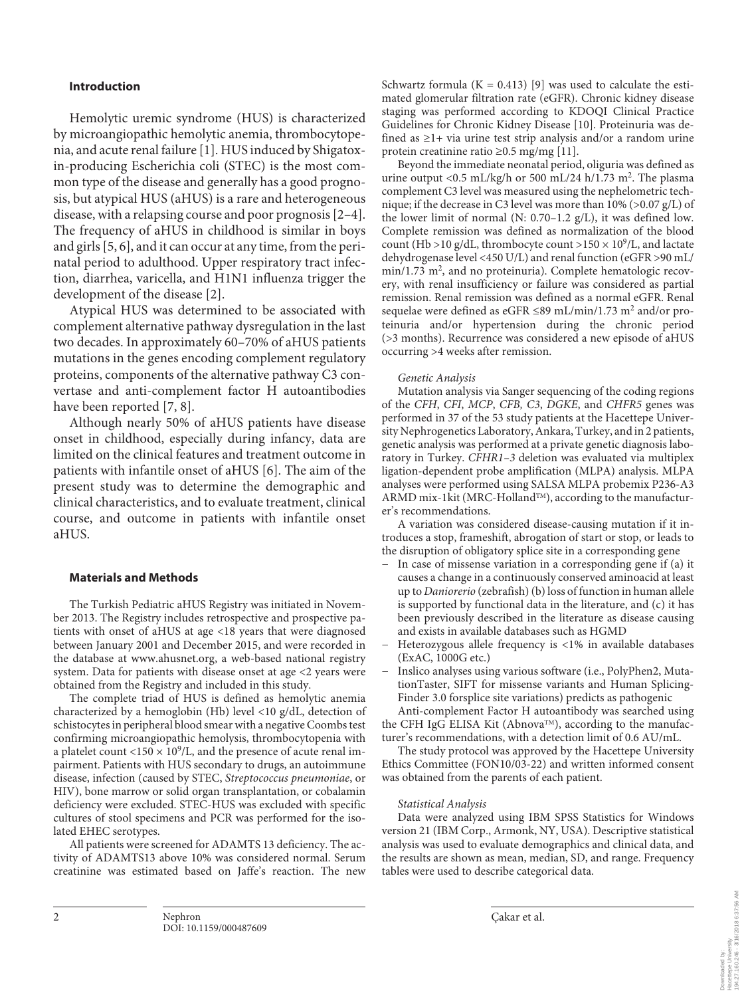#### **Introduction**

Hemolytic uremic syndrome (HUS) is characterized by microangiopathic hemolytic anemia, thrombocytopenia, and acute renal failure [1]. HUS induced by Shigatoxin-producing Escherichia coli (STEC) is the most common type of the disease and generally has a good prognosis, but atypical HUS (aHUS) is a rare and heterogeneous disease, with a relapsing course and poor prognosis [2–4]. The frequency of aHUS in childhood is similar in boys and girls [5, 6], and it can occur at any time, from the perinatal period to adulthood. Upper respiratory tract infection, diarrhea, varicella, and H1N1 influenza trigger the development of the disease [2].

Atypical HUS was determined to be associated with complement alternative pathway dysregulation in the last two decades. In approximately 60–70% of aHUS patients mutations in the genes encoding complement regulatory proteins, components of the alternative pathway C3 convertase and anti-complement factor H autoantibodies have been reported [7, 8].

Although nearly 50% of aHUS patients have disease onset in childhood, especially during infancy, data are limited on the clinical features and treatment outcome in patients with infantile onset of aHUS [6]. The aim of the present study was to determine the demographic and clinical characteristics, and to evaluate treatment, clinical course, and outcome in patients with infantile onset aHUS.

#### **Materials and Methods**

The Turkish Pediatric aHUS Registry was initiated in November 2013. The Registry includes retrospective and prospective patients with onset of aHUS at age <18 years that were diagnosed between January 2001 and December 2015, and were recorded in the database at www.ahusnet.org, a web-based national registry system. Data for patients with disease onset at age <2 years were obtained from the Registry and included in this study.

The complete triad of HUS is defined as hemolytic anemia characterized by a hemoglobin (Hb) level <10 g/dL, detection of schistocytes in peripheral blood smear with a negative Coombs test confirming microangiopathic hemolysis, thrombocytopenia with a platelet count <150  $\times$  10<sup>9</sup>/L, and the presence of acute renal impairment. Patients with HUS secondary to drugs, an autoimmune disease, infection (caused by STEC, *Streptococcus pneumoniae*, or HIV), bone marrow or solid organ transplantation, or cobalamin deficiency were excluded. STEC-HUS was excluded with specific cultures of stool specimens and PCR was performed for the isolated EHEC serotypes.

All patients were screened for ADAMTS 13 deficiency. The activity of ADAMTS13 above 10% was considered normal. Serum creatinine was estimated based on Jaffe's reaction. The new

Schwartz formula  $(K = 0.413)$  [9] was used to calculate the estimated glomerular filtration rate (eGFR). Chronic kidney disease staging was performed according to KDOQI Clinical Practice Guidelines for Chronic Kidney Disease [10]. Proteinuria was defined as ≥1+ via urine test strip analysis and/or a random urine protein creatinine ratio ≥0.5 mg/mg [11].

Beyond the immediate neonatal period, oliguria was defined as urine output <0.5 mL/kg/h or 500 mL/24 h/1.73 m<sup>2</sup>. The plasma complement C3 level was measured using the nephelometric technique; if the decrease in C3 level was more than 10% (>0.07 g/L) of the lower limit of normal (N: 0.70–1.2 g/L), it was defined low. Complete remission was defined as normalization of the blood count (Hb >10 g/dL, thrombocyte count >150  $\times$  10<sup>9</sup>/L, and lactate dehydrogenase level <450 U/L) and renal function (eGFR >90 mL/ min/1.73 m<sup>2</sup>, and no proteinuria). Complete hematologic recovery, with renal insufficiency or failure was considered as partial remission. Renal remission was defined as a normal eGFR. Renal sequelae were defined as eGFR  $\leq$ 89 mL/min/1.73 m<sup>2</sup> and/or proteinuria and/or hypertension during the chronic period (>3 months). Recurrence was considered a new episode of aHUS occurring >4 weeks after remission.

#### *Genetic Analysis*

Mutation analysis via Sanger sequencing of the coding regions of the *CFH*, *CFI*, *MCP*, *CFB, C3*, *DGKE*, and *CHFR5* genes was performed in 37 of the 53 study patients at the Hacettepe University Nephrogenetics Laboratory, Ankara, Turkey, and in 2 patients, genetic analysis was performed at a private genetic diagnosis laboratory in Turkey. *CFHR1–3* deletion was evaluated via multiplex ligation-dependent probe amplification (MLPA) analysis. MLPA analyses were performed using SALSA MLPA probemix P236-A3 ARMD mix-1kit (MRC-Holland<sup>TM</sup>), according to the manufacturer's recommendations.

A variation was considered disease-causing mutation if it introduces a stop, frameshift, abrogation of start or stop, or leads to the disruption of obligatory splice site in a corresponding gene

- − In case of missense variation in a corresponding gene if (a) it causes a change in a continuously conserved aminoacid at least up to *Daniorerio* (zebrafish) (b) loss of function in human allele is supported by functional data in the literature, and (c) it has been previously described in the literature as disease causing and exists in available databases such as HGMD
- Heterozygous allele frequency is <1% in available databases (ExAC, 1000G etc.)
- − Inslico analyses using various software (i.e., PolyPhen2, MutationTaster, SIFT for missense variants and Human Splicing-Finder 3.0 forsplice site variations) predicts as pathogenic

Anti-complement Factor H autoantibody was searched using the CFH IgG ELISA Kit (Abnova™), according to the manufacturer's recommendations, with a detection limit of 0.6 AU/mL.

The study protocol was approved by the Hacettepe University Ethics Committee (FON10/03-22) and written informed consent was obtained from the parents of each patient.

#### *Statistical Analysis*

Data were analyzed using IBM SPSS Statistics for Windows version 21 (IBM Corp., Armonk, NY, USA). Descriptive statistical analysis was used to evaluate demographics and clinical data, and the results are shown as mean, median, SD, and range. Frequency tables were used to describe categorical data.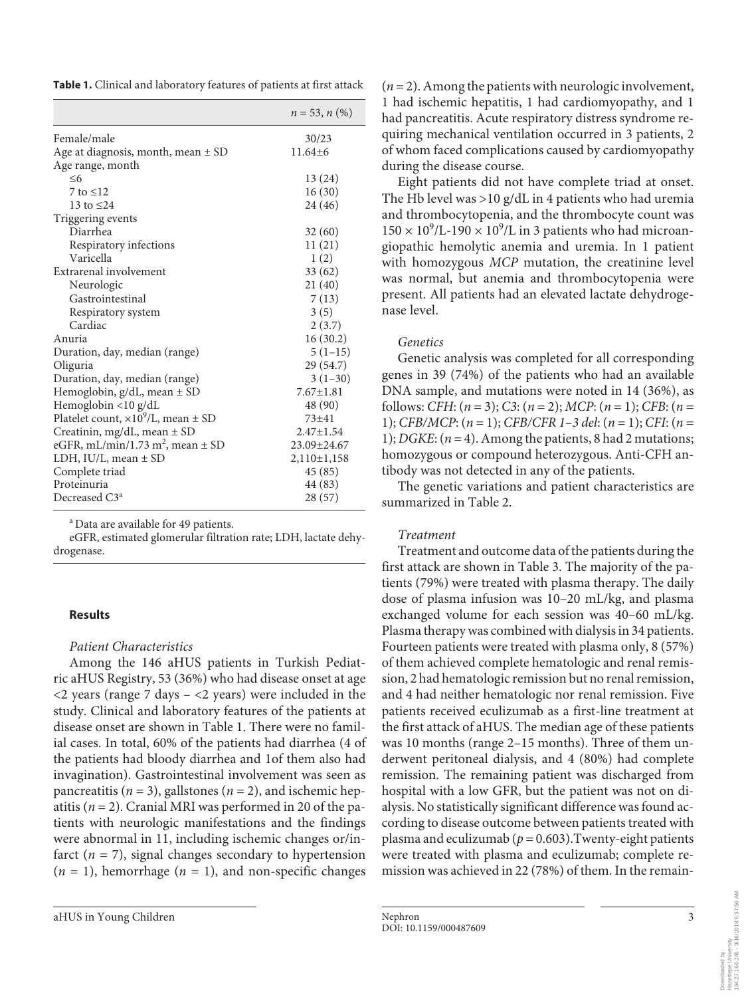**Table 1.** Clinical and laboratory features of patients at first attack

|                                                  | $n = 53, n$ (%) |
|--------------------------------------------------|-----------------|
| Female/male                                      | 30/23           |
| Age at diagnosis, month, mean ± SD               | $11.64 + 6$     |
| Age range, month                                 |                 |
| $<$ 6                                            | 13(24)          |
| 7 to ≤12                                         | 16(30)          |
| 13 to $\leq$ 24                                  | 24 (46)         |
| Triggering events                                |                 |
| Diarrhea                                         | 32(60)          |
| Respiratory infections                           | 11(21)          |
| Varicella                                        | 1(2)            |
| Extrarenal involvement                           | 33(62)          |
| Neurologic                                       | 21 (40)         |
| Gastrointestinal                                 | 7(13)           |
| Respiratory system                               | 3(5)            |
| Cardiac                                          | 2(3.7)          |
| Anuria                                           | 16(30.2)        |
| Duration, day, median (range)                    | $5(1-15)$       |
| Oliguria                                         | 29 (54.7)       |
| Duration, day, median (range)                    | $3(1-30)$       |
| Hemoglobin, g/dL, mean ± SD                      | $7.67 \pm 1.81$ |
| Hemoglobin <10 g/dL                              | 48 (90)         |
| Platelet count, $\times 10^9$ /L, mean $\pm$ SD  | $73+41$         |
| Creatinin, mg/dL, mean $\pm$ SD                  | $2.47 \pm 1.54$ |
| eGFR, mL/min/1.73 m <sup>2</sup> , mean $\pm$ SD | 23.09±24.67     |
| LDH, IU/L, mean ± SD                             | $2,110\pm1,158$ |
| Complete triad                                   | 45 (85)         |
| Proteinuria                                      | 44 (83)         |
| Decreased C <sub>3a</sub>                        | 28 (57)         |

<sup>a</sup> Data are available for 49 patients.

eGFR, estimated glomerular filtration rate; LDH, lactate dehydrogenase.

### **Results**

### *Patient Characteristics*

Among the 146 aHUS patients in Turkish Pediatric aHUS Registry, 53 (36%) who had disease onset at age  $\langle$ 2 years (range 7 days –  $\langle$ 2 years) were included in the study. Clinical and laboratory features of the patients at disease onset are shown in Table 1. There were no familial cases. In total, 60% of the patients had diarrhea (4 of the patients had bloody diarrhea and 1of them also had invagination). Gastrointestinal involvement was seen as pancreatitis ( $n = 3$ ), gallstones ( $n = 2$ ), and ischemic hepatitis (*n* = 2). Cranial MRI was performed in 20 of the patients with neurologic manifestations and the findings were abnormal in 11, including ischemic changes or/infarct  $(n = 7)$ , signal changes secondary to hypertension  $(n = 1)$ , hemorrhage  $(n = 1)$ , and non-specific changes

 $(n=2)$ . Among the patients with neurologic involvement, 1 had ischemic hepatitis, 1 had cardiomyopathy, and 1 had pancreatitis. Acute respiratory distress syndrome requiring mechanical ventilation occurred in 3 patients, 2 of whom faced complications caused by cardiomyopathy during the disease course.

Eight patients did not have complete triad at onset. The Hb level was >10 g/dL in 4 patients who had uremia and thrombocytopenia, and the thrombocyte count was  $150 \times 10^9$ /L-190  $\times 10^9$ /L in 3 patients who had microangiopathic hemolytic anemia and uremia. In 1 patient with homozygous *MCP* mutation, the creatinine level was normal, but anemia and thrombocytopenia were present. All patients had an elevated lactate dehydrogenase level.

## *Genetics*

Genetic analysis was completed for all corresponding genes in 39 (74%) of the patients who had an available DNA sample, and mutations were noted in 14 (36%), as follows: *CFH*: (*n* = 3); *C3*: (*n* = 2); *MCP*: (*n* = 1); *CFB*: (*n* = 1); *CFB/MCP*: (*n* = 1); *CFB/CFR 1–3 del*: (*n* = 1); *CFI*: (*n* = 1); *DGKE*:  $(n = 4)$ . Among the patients, 8 had 2 mutations; homozygous or compound heterozygous. Anti-CFH antibody was not detected in any of the patients.

The genetic variations and patient characteristics are summarized in Table 2.

### *Treatment*

Treatment and outcome data of the patients during the first attack are shown in Table 3. The majority of the patients (79%) were treated with plasma therapy. The daily dose of plasma infusion was 10–20 mL/kg, and plasma exchanged volume for each session was 40–60 mL/kg. Plasma therapy was combined with dialysis in 34 patients. Fourteen patients were treated with plasma only, 8 (57%) of them achieved complete hematologic and renal remission, 2 had hematologic remission but no renal remission, and 4 had neither hematologic nor renal remission. Five patients received eculizumab as a first-line treatment at the first attack of aHUS. The median age of these patients was 10 months (range 2–15 months). Three of them underwent peritoneal dialysis, and 4 (80%) had complete remission. The remaining patient was discharged from hospital with a low GFR, but the patient was not on dialysis. No statistically significant difference was found according to disease outcome between patients treated with plasma and eculizumab ( $p = 0.603$ ). Twenty-eight patients were treated with plasma and eculizumab; complete remission was achieved in 22 (78%) of them. In the remain-

rsity<br>- 3/16/2018 6:37:56 AM 194.27.160.246 - 3/16/2018 6:37:56 AMHacettepe University Downloaded by: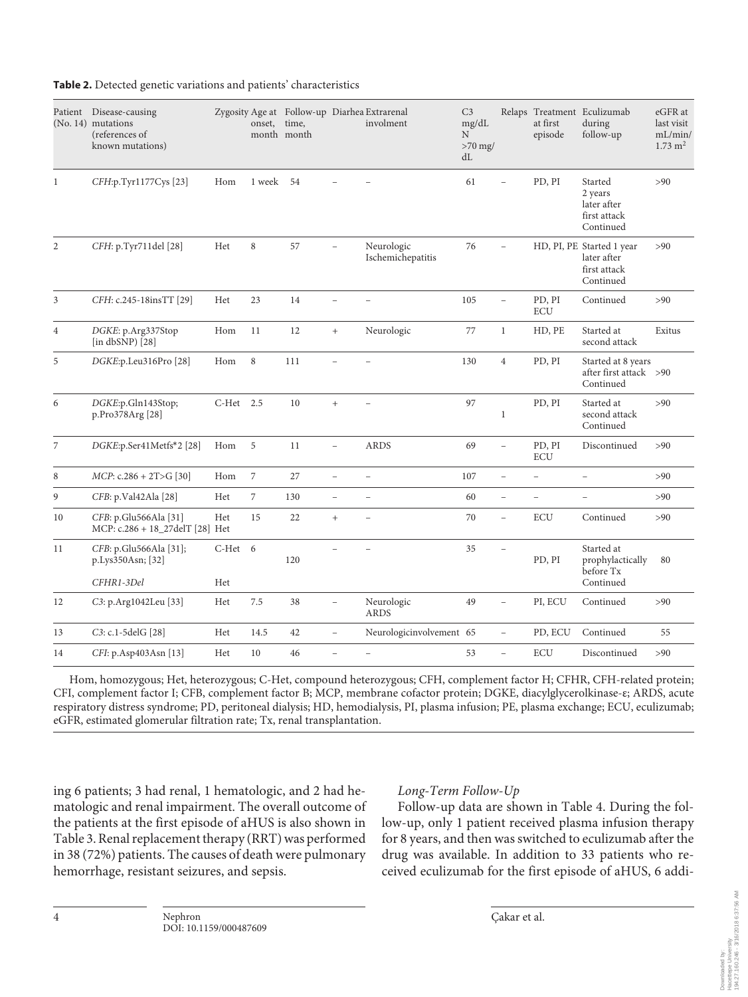|                | Patient Disease-causing<br>(No. 14) mutations<br>(references of<br>known mutations) |              | onset, time,   | Zygosity Age at Follow-up Diarhea Extrarenal<br>month month |                          | involment                       | C <sub>3</sub><br>mg/dL<br>N<br>$>70$ mg/<br>dL |                          | at first<br>episode  | Relaps Treatment Eculizumab<br>during<br>follow-up                    | eGFR at<br>last visit<br>mL/min/<br>$1.73 \text{ m}^2$ |
|----------------|-------------------------------------------------------------------------------------|--------------|----------------|-------------------------------------------------------------|--------------------------|---------------------------------|-------------------------------------------------|--------------------------|----------------------|-----------------------------------------------------------------------|--------------------------------------------------------|
| $\mathbf{1}$   | CFH:p.Tyr1177Cys [23]                                                               | Hom          | 1 week         | 54                                                          |                          |                                 | 61                                              |                          | PD, PI               | Started<br>2 years<br>later after<br>first attack<br>Continued        | >90                                                    |
| $\overline{2}$ | CFH: p.Tyr711del [28]                                                               | Het          | 8              | 57                                                          | ÷                        | Neurologic<br>Ischemichepatitis | 76                                              | ÷                        |                      | HD, PI, PE Started 1 year<br>later after<br>first attack<br>Continued | >90                                                    |
| 3              | CFH: c.245-18insTT [29]                                                             | Het          | 23             | 14                                                          |                          |                                 | 105                                             | $\overline{\phantom{a}}$ | PD, PI<br><b>ECU</b> | Continued                                                             | >90                                                    |
| $\overline{4}$ | DGKE: p.Arg337Stop<br>$[$ in dbSNP $)$ $[28]$                                       | Hom          | 11             | 12                                                          | $+$                      | Neurologic                      | 77                                              | $\mathbf{1}$             | HD, PE               | Started at<br>second attack                                           | Exitus                                                 |
| 5              | DGKE:p.Leu316Pro [28]                                                               | Hom          | 8              | 111                                                         |                          |                                 | 130                                             | $\overline{4}$           | PD, PI               | Started at 8 years<br>after first attack >90<br>Continued             |                                                        |
| 6              | DGKE:p.Gln143Stop;<br>p.Pro378Arg [28]                                              | $C$ -Het 2.5 |                | 10                                                          | $^{+}$                   | $\overline{\phantom{a}}$        | 97                                              | $\mathbf{1}$             | PD, PI               | Started at<br>second attack<br>Continued                              | >90                                                    |
| 7              | DGKE:p.Ser41Metfs*2 [28]                                                            | Hom          | 5              | 11                                                          | $\overline{\phantom{0}}$ | <b>ARDS</b>                     | 69                                              | $\overline{a}$           | PD, PI<br><b>ECU</b> | Discontinued                                                          | >90                                                    |
| 8              | $MCP$ : c.286 + 2T>G [30]                                                           | Hom          | 7              | 27                                                          | $\overline{\phantom{0}}$ | $\qquad \qquad -$               | 107                                             | $\overline{\phantom{0}}$ | $\overline{a}$       | $\overline{a}$                                                        | >90                                                    |
| 9              | CFB: p.Val42Ala [28]                                                                | Het          | $\overline{7}$ | 130                                                         | $\overline{\phantom{0}}$ |                                 | 60                                              | $\overline{\phantom{0}}$ | $\overline{a}$       | $\overline{\phantom{0}}$                                              | >90                                                    |
| 10             | CFB: p.Glu566Ala [31]<br>MCP: c.286 + 18_27delT [28] Het                            | Het          | 15             | 22                                                          | $+$                      |                                 | 70                                              | $\overline{a}$           | <b>ECU</b>           | Continued                                                             | >90                                                    |
| 11             | CFB: p.Glu566Ala [31];<br>p.Lys350Asn; [32]                                         | C-Het        | 6              | 120                                                         |                          |                                 | 35                                              | $\overline{\phantom{a}}$ | PD, PI               | Started at<br>prophylactically<br>before Tx                           | 80                                                     |
|                | CFHR1-3Del                                                                          | Het          |                |                                                             |                          |                                 |                                                 |                          |                      | Continued                                                             |                                                        |
| 12             | C3: p.Arg1042Leu [33]                                                               | Het          | 7.5            | 38                                                          | $\overline{a}$           | Neurologic<br><b>ARDS</b>       | 49                                              | $\overline{\phantom{0}}$ | PI, ECU              | Continued                                                             | >90                                                    |
| 13             | C3: c.1-5delG [28]                                                                  | Het          | 14.5           | 42                                                          | $\overline{\phantom{0}}$ | Neurologicinvolvement 65        |                                                 | $\overline{\phantom{0}}$ | PD, ECU              | Continued                                                             | 55                                                     |
| 14             | CFI: p.Asp403Asn [13]                                                               | Het          | 10             | 46                                                          | $\overline{a}$           | $\overline{\phantom{m}}$        | 53                                              | $\overline{\phantom{0}}$ | <b>ECU</b>           | Discontinued                                                          | >90                                                    |

## **Table 2.** Detected genetic variations and patients' characteristics

Hom, homozygous; Het, heterozygous; C-Het, compound heterozygous; CFH, complement factor H; CFHR, CFH-related protein; CFI, complement factor I; CFB, complement factor B; MCP, membrane cofactor protein; DGKE, diacylglycerolkinase-ε; ARDS, acute respiratory distress syndrome; PD, peritoneal dialysis; HD, hemodialysis, PI, plasma infusion; PE, plasma exchange; ECU, eculizumab; eGFR, estimated glomerular filtration rate; Tx, renal transplantation.

ing 6 patients; 3 had renal, 1 hematologic, and 2 had hematologic and renal impairment. The overall outcome of the patients at the first episode of aHUS is also shown in Table 3. Renal replacement therapy (RRT) was performed in 38 (72%) patients. The causes of death were pulmonary hemorrhage, resistant seizures, and sepsis.

## *Long-Term Follow-Up*

Follow-up data are shown in Table 4. During the follow-up, only 1 patient received plasma infusion therapy for 8 years, and then was switched to eculizumab after the drug was available. In addition to 33 patients who received eculizumab for the first episode of aHUS, 6 addi-

Downloaded by:<br>Hacettepe University<br>194.27.160.246 - 3/16/2018 6:37:56 AM 194.27.160.246 - 3/16/2018 6:37:56 AMHacettepe University Downloaded by: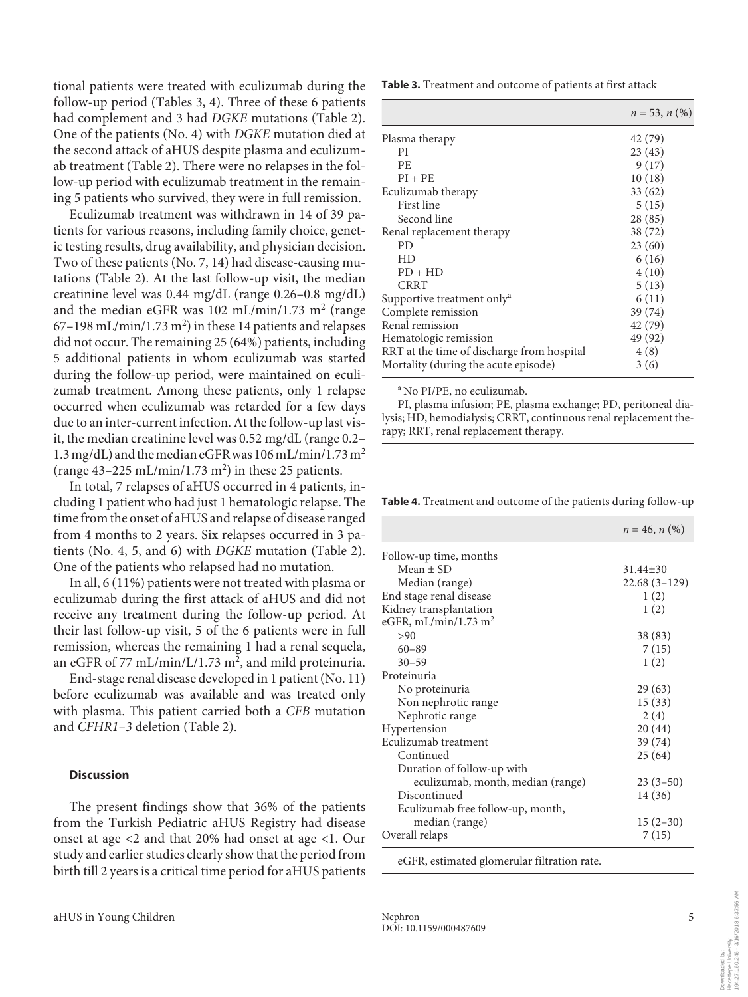tional patients were treated with eculizumab during the follow-up period (Tables 3, 4). Three of these 6 patients had complement and 3 had *DGKE* mutations (Table 2). One of the patients (No. 4) with *DGKE* mutation died at the second attack of aHUS despite plasma and eculizumab treatment (Table 2). There were no relapses in the follow-up period with eculizumab treatment in the remaining 5 patients who survived, they were in full remission.

Eculizumab treatment was withdrawn in 14 of 39 patients for various reasons, including family choice, genetic testing results, drug availability, and physician decision. Two of these patients (No. 7, 14) had disease-causing mutations (Table 2). At the last follow-up visit, the median creatinine level was 0.44 mg/dL (range 0.26–0.8 mg/dL) and the median eGFR was  $102 \text{ mL/min}/1.73 \text{ m}^2$  (range 67–198 mL/min/1.73 m<sup>2</sup>) in these 14 patients and relapses did not occur. The remaining 25 (64%) patients, including 5 additional patients in whom eculizumab was started during the follow-up period, were maintained on eculizumab treatment. Among these patients, only 1 relapse occurred when eculizumab was retarded for a few days due to an inter-current infection. At the follow-up last visit, the median creatinine level was 0.52 mg/dL (range 0.2– 1.3 mg/dL) and the median eGFR was  $106$  mL/min/1.73 m<sup>2</sup> (range  $43-225$  mL/min/1.73 m<sup>2</sup>) in these 25 patients.

In total, 7 relapses of aHUS occurred in 4 patients, including 1 patient who had just 1 hematologic relapse. The time from the onset of aHUS and relapse of disease ranged from 4 months to 2 years. Six relapses occurred in 3 patients (No. 4, 5, and 6) with *DGKE* mutation (Table 2). One of the patients who relapsed had no mutation.

In all, 6 (11%) patients were not treated with plasma or eculizumab during the first attack of aHUS and did not receive any treatment during the follow-up period. At their last follow-up visit, 5 of the 6 patients were in full remission, whereas the remaining 1 had a renal sequela, an eGFR of 77 mL/min/L/1.73  $m^2$ , and mild proteinuria.

End-stage renal disease developed in 1 patient (No. 11) before eculizumab was available and was treated only with plasma. This patient carried both a *CFB* mutation and *CFHR1–3* deletion (Table 2).

#### **Discussion**

The present findings show that 36% of the patients from the Turkish Pediatric aHUS Registry had disease onset at age <2 and that 20% had onset at age <1. Our study and earlier studies clearly show that the period from birth till 2 years is a critical time period for aHUS patients

**Table 3.** Treatment and outcome of patients at first attack

|                                            | $n = 53, n$ (%) |
|--------------------------------------------|-----------------|
| Plasma therapy                             | 42 (79)         |
| PI                                         | 23(43)          |
| PE                                         | 9(17)           |
| $PI + PE$                                  | 10(18)          |
| Eculizumab therapy                         | 33(62)          |
| First line                                 | 5(15)           |
| Second line                                | 28 (85)         |
| Renal replacement therapy                  | 38 (72)         |
| P <sub>D</sub>                             | 23(60)          |
| HD                                         | 6(16)           |
| $PD + HD$                                  | 4(10)           |
| CRRT                                       | 5(13)           |
| Supportive treatment only <sup>a</sup>     | 6(11)           |
| Complete remission                         | 39 (74)         |
| Renal remission                            | 42 (79)         |
| Hematologic remission                      | 49 (92)         |
| RRT at the time of discharge from hospital | 4(8)            |
| Mortality (during the acute episode)       | 3(6)            |

<sup>a</sup> No PI/PE, no eculizumab.

PI, plasma infusion; PE, plasma exchange; PD, peritoneal dialysis; HD, hemodialysis; CRRT, continuous renal replacement therapy; RRT, renal replacement therapy.

**Table 4.** Treatment and outcome of the patients during follow-up

|                                   | $n = 46, n (%)$ |
|-----------------------------------|-----------------|
| Follow-up time, months            |                 |
| $Mean + SD$                       | $31.44 \pm 30$  |
| Median (range)                    | $22.68(3-129)$  |
| End stage renal disease           | 1(2)            |
| Kidney transplantation            | 1(2)            |
| eGFR, mL/min/1.73 m <sup>2</sup>  |                 |
| >90                               | 38 (83)         |
| $60 - 89$                         | 7(15)           |
| $30 - 59$                         | 1(2)            |
| Proteinuria                       |                 |
| No proteinuria                    | 29(63)          |
| Non nephrotic range               | 15(33)          |
| Nephrotic range                   | 2(4)            |
| Hypertension                      | 20(44)          |
| Eculizumab treatment              | 39 (74)         |
| Continued                         | 25(64)          |
| Duration of follow-up with        |                 |
| eculizumab, month, median (range) | $23(3-50)$      |
| Discontinued                      | 14 (36)         |
| Eculizumab free follow-up, month, |                 |
| median (range)                    | $15(2-30)$      |
| Overall relaps                    | 7(15)           |

eGFR, estimated glomerular filtration rate.

3/16/2018 6:37:56 AM 194.27.160.246 - 3/16/2018 6:37:56 AMHacettepe University Downloaded by: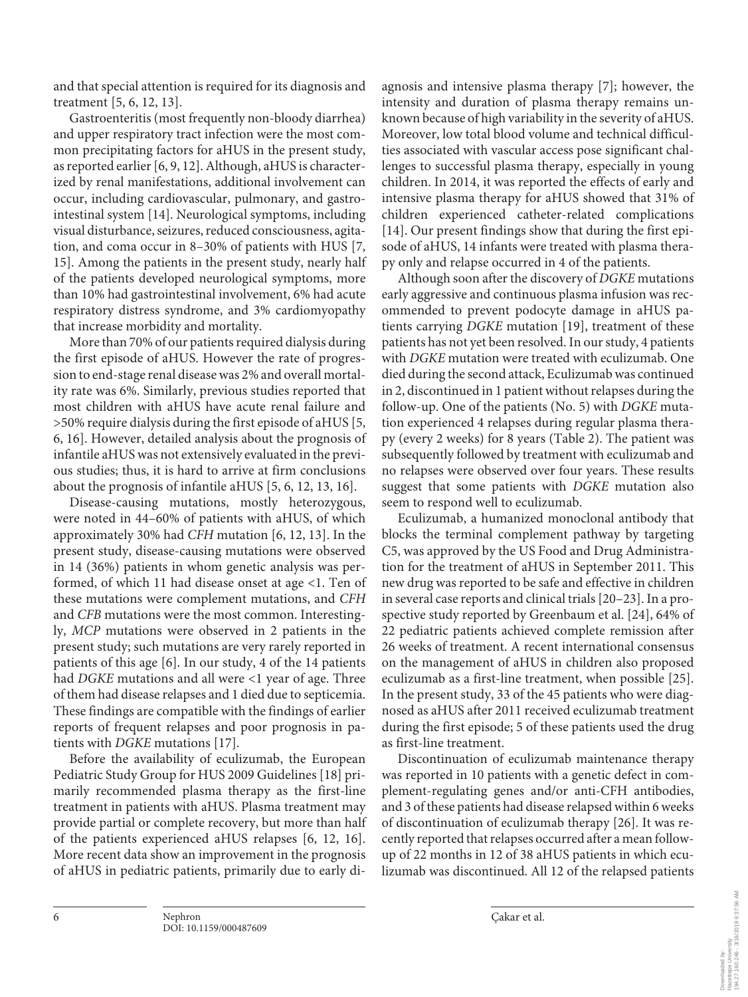and that special attention is required for its diagnosis and treatment [5, 6, 12, 13].

Gastroenteritis (most frequently non-bloody diarrhea) and upper respiratory tract infection were the most common precipitating factors for aHUS in the present study, as reported earlier [6, 9, 12]. Although, aHUS is characterized by renal manifestations, additional involvement can occur, including cardiovascular, pulmonary, and gastrointestinal system [14]. Neurological symptoms, including visual disturbance, seizures, reduced consciousness, agitation, and coma occur in 8–30% of patients with HUS [7, 15]. Among the patients in the present study, nearly half of the patients developed neurological symptoms, more than 10% had gastrointestinal involvement, 6% had acute respiratory distress syndrome, and 3% cardiomyopathy that increase morbidity and mortality.

More than 70% of our patients required dialysis during the first episode of aHUS. However the rate of progression to end-stage renal disease was 2% and overall mortality rate was 6%. Similarly, previous studies reported that most children with aHUS have acute renal failure and >50% require dialysis during the first episode of aHUS [5, 6, 16]. However, detailed analysis about the prognosis of infantile aHUS was not extensively evaluated in the previous studies; thus, it is hard to arrive at firm conclusions about the prognosis of infantile aHUS [5, 6, 12, 13, 16].

Disease-causing mutations, mostly heterozygous, were noted in 44–60% of patients with aHUS, of which approximately 30% had *CFH* mutation [6, 12, 13]. In the present study, disease-causing mutations were observed in 14 (36%) patients in whom genetic analysis was performed, of which 11 had disease onset at age <1. Ten of these mutations were complement mutations, and *CFH* and *CFB* mutations were the most common. Interestingly, *MCP* mutations were observed in 2 patients in the present study; such mutations are very rarely reported in patients of this age [6]. In our study, 4 of the 14 patients had *DGKE* mutations and all were <1 year of age. Three of them had disease relapses and 1 died due to septicemia. These findings are compatible with the findings of earlier reports of frequent relapses and poor prognosis in patients with *DGKE* mutations [17].

Before the availability of eculizumab, the European Pediatric Study Group for HUS 2009 Guidelines [18] primarily recommended plasma therapy as the first-line treatment in patients with aHUS. Plasma treatment may provide partial or complete recovery, but more than half of the patients experienced aHUS relapses [6, 12, 16]. More recent data show an improvement in the prognosis of aHUS in pediatric patients, primarily due to early diagnosis and intensive plasma therapy [7]; however, the intensity and duration of plasma therapy remains unknown because of high variability in the severity of aHUS. Moreover, low total blood volume and technical difficulties associated with vascular access pose significant challenges to successful plasma therapy, especially in young children. In 2014, it was reported the effects of early and intensive plasma therapy for aHUS showed that 31% of children experienced catheter-related complications [14]. Our present findings show that during the first episode of aHUS, 14 infants were treated with plasma therapy only and relapse occurred in 4 of the patients.

Although soon after the discovery of *DGKE* mutations early aggressive and continuous plasma infusion was recommended to prevent podocyte damage in aHUS patients carrying *DGKE* mutation [19], treatment of these patients has not yet been resolved. In our study, 4 patients with *DGKE* mutation were treated with eculizumab. One died during the second attack, Eculizumab was continued in 2, discontinued in 1 patient without relapses during the follow-up. One of the patients (No. 5) with *DGKE* mutation experienced 4 relapses during regular plasma therapy (every 2 weeks) for 8 years (Table 2). The patient was subsequently followed by treatment with eculizumab and no relapses were observed over four years. These results suggest that some patients with *DGKE* mutation also seem to respond well to eculizumab.

Eculizumab, a humanized monoclonal antibody that blocks the terminal complement pathway by targeting C5, was approved by the US Food and Drug Administration for the treatment of aHUS in September 2011. This new drug was reported to be safe and effective in children in several case reports and clinical trials [20–23]. In a prospective study reported by Greenbaum et al. [24], 64% of 22 pediatric patients achieved complete remission after 26 weeks of treatment. A recent international consensus on the management of aHUS in children also proposed eculizumab as a first-line treatment, when possible [25]. In the present study, 33 of the 45 patients who were diagnosed as aHUS after 2011 received eculizumab treatment during the first episode; 5 of these patients used the drug as first-line treatment.

Discontinuation of eculizumab maintenance therapy was reported in 10 patients with a genetic defect in complement-regulating genes and/or anti-CFH antibodies, and 3 of these patients had disease relapsed within 6 weeks of discontinuation of eculizumab therapy [26]. It was recently reported that relapses occurred after a mean followup of 22 months in 12 of 38 aHUS patients in which eculizumab was discontinued. All 12 of the relapsed patients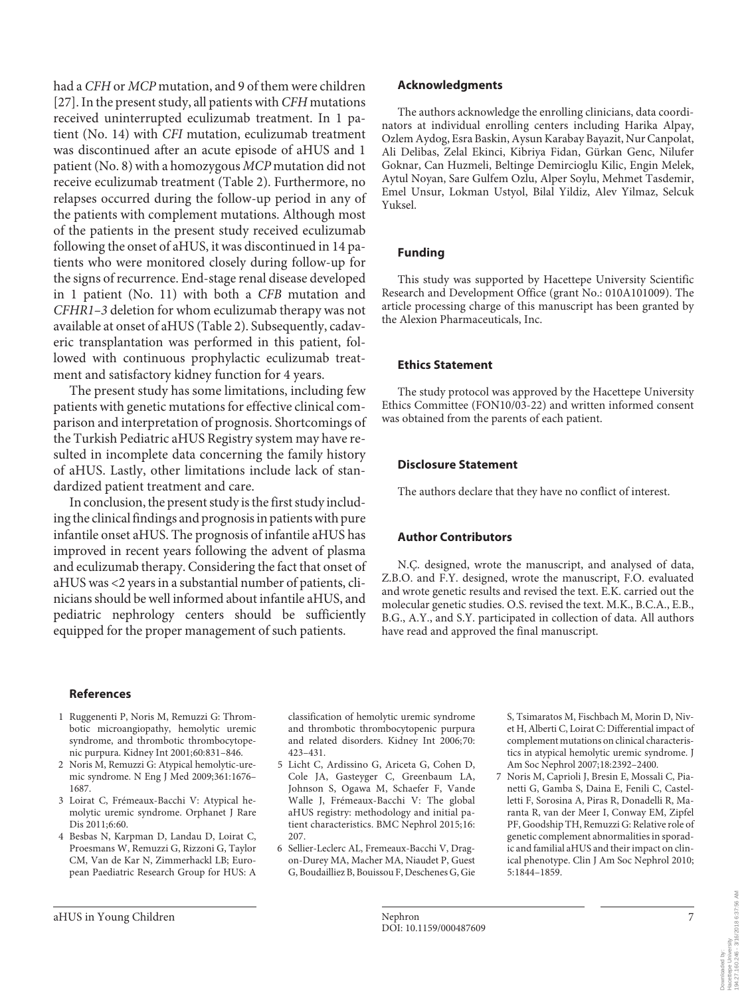had a *CFH* or *MCP* mutation, and 9 of them were children [27]. In the present study, all patients with *CFH* mutations received uninterrupted eculizumab treatment. In 1 patient (No. 14) with *CFI* mutation, eculizumab treatment was discontinued after an acute episode of aHUS and 1 patient (No. 8) with a homozygous *MCP* mutation did not receive eculizumab treatment (Table 2). Furthermore, no relapses occurred during the follow-up period in any of the patients with complement mutations. Although most of the patients in the present study received eculizumab following the onset of aHUS, it was discontinued in 14 patients who were monitored closely during follow-up for the signs of recurrence. End-stage renal disease developed in 1 patient (No. 11) with both a *CFB* mutation and *CFHR1–3* deletion for whom eculizumab therapy was not available at onset of aHUS (Table 2). Subsequently, cadaveric transplantation was performed in this patient, followed with continuous prophylactic eculizumab treatment and satisfactory kidney function for 4 years.

The present study has some limitations, including few patients with genetic mutations for effective clinical comparison and interpretation of prognosis. Shortcomings of the Turkish Pediatric aHUS Registry system may have resulted in incomplete data concerning the family history of aHUS. Lastly, other limitations include lack of standardized patient treatment and care.

In conclusion, the present study is the first study including the clinical findings and prognosis in patients with pure infantile onset aHUS. The prognosis of infantile aHUS has improved in recent years following the advent of plasma and eculizumab therapy. Considering the fact that onset of aHUS was <2 years in a substantial number of patients, clinicians should be well informed about infantile aHUS, and pediatric nephrology centers should be sufficiently equipped for the proper management of such patients.

#### **Acknowledgments**

The authors acknowledge the enrolling clinicians, data coordinators at individual enrolling centers including Harika Alpay, Ozlem Aydog, Esra Baskin, Aysun Karabay Bayazit, Nur Canpolat, Ali Delibas, Zelal Ekinci, Kibriya Fidan, Gürkan Genc, Nilufer Goknar, Can Huzmeli, Beltinge Demircioglu Kilic, Engin Melek, Aytul Noyan, Sare Gulfem Ozlu, Alper Soylu, Mehmet Tasdemir, Emel Unsur, Lokman Ustyol, Bilal Yildiz, Alev Yilmaz, Selcuk Yuksel.

## **Funding**

This study was supported by Hacettepe University Scientific Research and Development Office (grant No.: 010A101009). The article processing charge of this manuscript has been granted by the Alexion Pharmaceuticals, Inc.

### **Ethics Statement**

The study protocol was approved by the Hacettepe University Ethics Committee (FON10/03-22) and written informed consent was obtained from the parents of each patient.

## **Disclosure Statement**

The authors declare that they have no conflict of interest.

## **Author Contributors**

N.Ç. designed, wrote the manuscript, and analysed of data, Z.B.O. and F.Y. designed, wrote the manuscript, F.O. evaluated and wrote genetic results and revised the text. E.K. carried out the molecular genetic studies. O.S. revised the text. M.K., B.C.A., E.B., B.G., A.Y., and S.Y. participated in collection of data. All authors have read and approved the final manuscript.

### **References**

- 1 Ruggenenti P, Noris M, Remuzzi G: Thrombotic microangiopathy, hemolytic uremic syndrome, and thrombotic thrombocytopenic purpura. Kidney Int 2001;60:831–846.
- 2 Noris M, Remuzzi G: Atypical hemolytic-uremic syndrome. N Eng J Med 2009;361:1676– 1687.
- 3 Loirat C, Frémeaux-Bacchi V: Atypical hemolytic uremic syndrome. Orphanet J Rare Dis 2011;6:60.
- 4 Besbas N, Karpman D, Landau D, Loirat C, Proesmans W, Remuzzi G, Rizzoni G, Taylor CM, Van de Kar N, Zimmerhackl LB; European Paediatric Research Group for HUS: A

classification of hemolytic uremic syndrome and thrombotic thrombocytopenic purpura and related disorders. Kidney Int 2006;70: 423–431.

- 5 Licht C, Ardissino G, Ariceta G, Cohen D, Cole JA, Gasteyger C, Greenbaum LA, Johnson S, Ogawa M, Schaefer F, Vande Walle J, Frémeaux-Bacchi V: The global aHUS registry: methodology and initial patient characteristics. BMC Nephrol 2015;16: 207.
- 6 Sellier-Leclerc AL, Fremeaux-Bacchi V, Dragon-Durey MA, Macher MA, Niaudet P, Guest G, Boudailliez B, Bouissou F, Deschenes G, Gie

S, Tsimaratos M, Fischbach M, Morin D, Nivet H, Alberti C, Loirat C: Differential impact of complement mutations on clinical characteristics in atypical hemolytic uremic syndrome. J Am Soc Nephrol 2007;18:2392–2400.

7 Noris M, Caprioli J, Bresin E, Mossali C, Pianetti G, Gamba S, Daina E, Fenili C, Castelletti F, Sorosina A, Piras R, Donadelli R, Maranta R, van der Meer I, Conway EM, Zipfel PF, Goodship TH, Remuzzi G: Relative role of genetic complement abnormalities in sporadic and familial aHUS and their impact on clinical phenotype. Clin J Am Soc Nephrol 2010; 5:1844–1859.

194.27.160.246 - 3/16/2018 6:37:56 AM